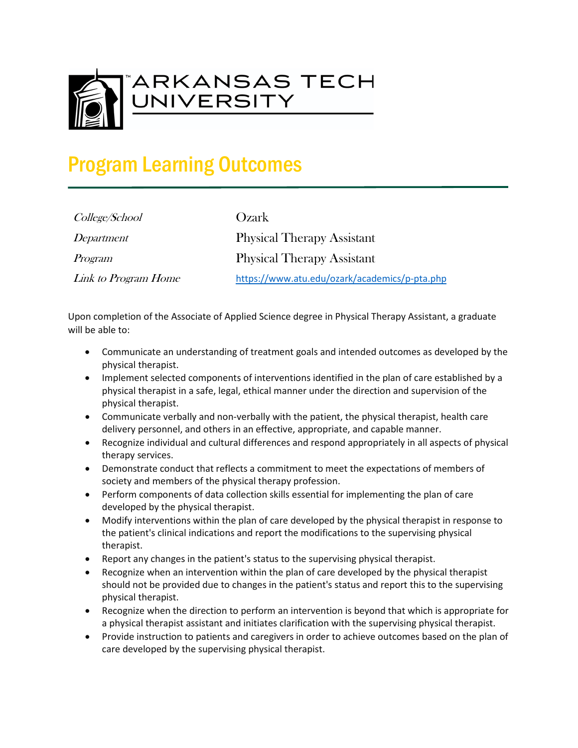

## Program Learning Outcomes

| College/School      |
|---------------------|
| Department          |
| Program             |
| Link to Program Hom |

Ozark Physical Therapy Assistant Physical Therapy Assistant  $\textit{he}$  <https://www.atu.edu/ozark/academics/p-pta.php>

Upon completion of the Associate of Applied Science degree in Physical Therapy Assistant, a graduate will be able to:

- Communicate an understanding of treatment goals and intended outcomes as developed by the physical therapist.
- Implement selected components of interventions identified in the plan of care established by a physical therapist in a safe, legal, ethical manner under the direction and supervision of the physical therapist.
- Communicate verbally and non-verbally with the patient, the physical therapist, health care delivery personnel, and others in an effective, appropriate, and capable manner.
- Recognize individual and cultural differences and respond appropriately in all aspects of physical therapy services.
- Demonstrate conduct that reflects a commitment to meet the expectations of members of society and members of the physical therapy profession.
- Perform components of data collection skills essential for implementing the plan of care developed by the physical therapist.
- Modify interventions within the plan of care developed by the physical therapist in response to the patient's clinical indications and report the modifications to the supervising physical therapist.
- Report any changes in the patient's status to the supervising physical therapist.
- Recognize when an intervention within the plan of care developed by the physical therapist should not be provided due to changes in the patient's status and report this to the supervising physical therapist.
- Recognize when the direction to perform an intervention is beyond that which is appropriate for a physical therapist assistant and initiates clarification with the supervising physical therapist.
- Provide instruction to patients and caregivers in order to achieve outcomes based on the plan of care developed by the supervising physical therapist.